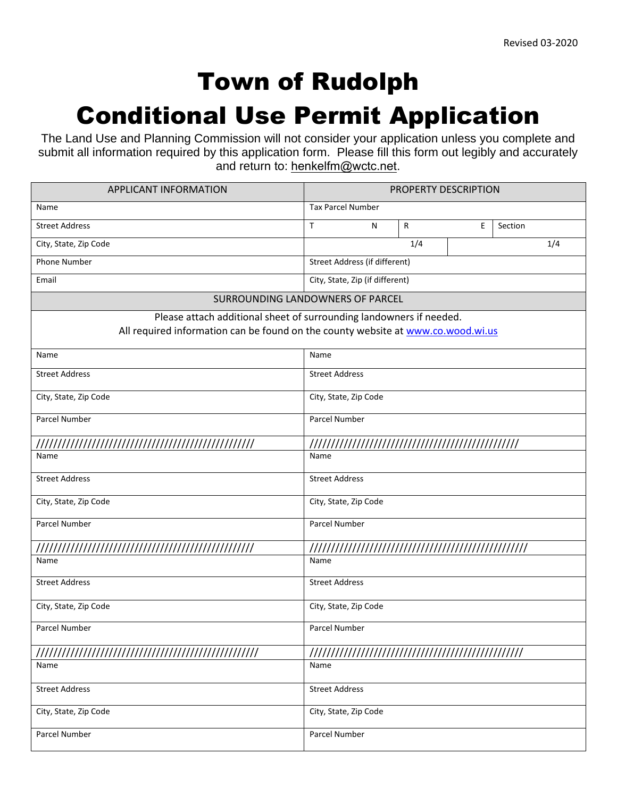## Town of Rudolph

## Conditional Use Permit Application

The Land Use and Planning Commission will not consider your application unless you complete and submit all information required by this application form. Please fill this form out legibly and accurately and return to: henkelfm@wctc.net.

| <b>APPLICANT INFORMATION</b>                                                                                                                            | PROPERTY DESCRIPTION            |              |   |         |
|---------------------------------------------------------------------------------------------------------------------------------------------------------|---------------------------------|--------------|---|---------|
| Name                                                                                                                                                    | <b>Tax Parcel Number</b>        |              |   |         |
| <b>Street Address</b>                                                                                                                                   | T.<br>N                         | $\mathsf{R}$ | E | Section |
| City, State, Zip Code                                                                                                                                   |                                 | 1/4          |   | 1/4     |
| <b>Phone Number</b>                                                                                                                                     | Street Address (if different)   |              |   |         |
| Email                                                                                                                                                   | City, State, Zip (if different) |              |   |         |
| SURROUNDING LANDOWNERS OF PARCEL                                                                                                                        |                                 |              |   |         |
| Please attach additional sheet of surrounding landowners if needed.<br>All required information can be found on the county website at www.co.wood.wi.us |                                 |              |   |         |
| Name                                                                                                                                                    | Name                            |              |   |         |
| <b>Street Address</b>                                                                                                                                   | <b>Street Address</b>           |              |   |         |
| City, State, Zip Code                                                                                                                                   | City, State, Zip Code           |              |   |         |
| <b>Parcel Number</b>                                                                                                                                    | Parcel Number                   |              |   |         |
|                                                                                                                                                         |                                 |              |   |         |
| Name                                                                                                                                                    | Name                            |              |   |         |
| <b>Street Address</b>                                                                                                                                   | <b>Street Address</b>           |              |   |         |
| City, State, Zip Code                                                                                                                                   | City, State, Zip Code           |              |   |         |
| <b>Parcel Number</b>                                                                                                                                    | <b>Parcel Number</b>            |              |   |         |
|                                                                                                                                                         |                                 |              |   |         |
| Name                                                                                                                                                    | Name                            |              |   |         |
| <b>Street Address</b>                                                                                                                                   | <b>Street Address</b>           |              |   |         |
| City, State, Zip Code                                                                                                                                   | City, State, Zip Code           |              |   |         |
| <b>Parcel Number</b>                                                                                                                                    | <b>Parcel Number</b>            |              |   |         |
|                                                                                                                                                         |                                 |              |   |         |
| Name                                                                                                                                                    | Name                            |              |   |         |
| <b>Street Address</b>                                                                                                                                   | <b>Street Address</b>           |              |   |         |
| City, State, Zip Code                                                                                                                                   | City, State, Zip Code           |              |   |         |
| Parcel Number                                                                                                                                           | Parcel Number                   |              |   |         |